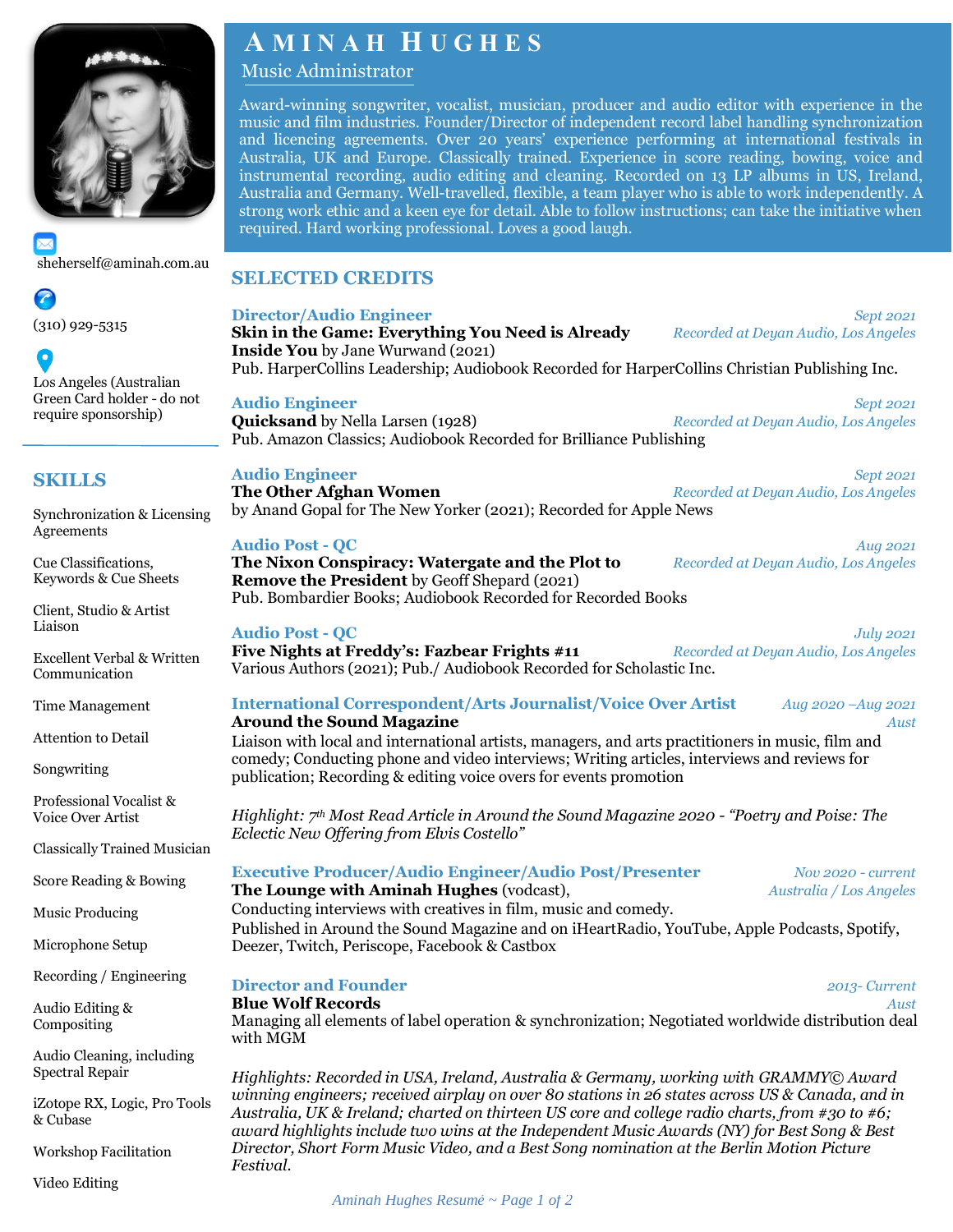

[sheherself@aminah.com.au](mailto:sheherself@aminah.com.au)

Q

(310) 929-5315

0 Los Angeles (Australian Green Card holder - do not require sponsorship)

# **SKILLS**

Synchronization & Licensing Agreements

Cue Classifications, Keywords & Cue Sheets

Client, Studio & Artist Liaison

Excellent Verbal & Written Communication

Time Management

Attention to Detail

Songwriting

Professional Vocalist & Voice Over Artist

Classically Trained Musician

Score Reading & Bowing

Music Producing

Microphone Setup

Recording / Engineering

Audio Editing & Compositing

Audio Cleaning, including Spectral Repair

iZotope RX, Logic, Pro Tools & Cubase

Workshop Facilitation

Video Editing

# **A M I N A H H U G H E S**

# Music Administrator

Award-winning songwriter, vocalist, musician, producer and audio editor with experience in the music and film industries. Founder/Director of independent record label handling synchronization and licencing agreements. Over 20 years' experience performing at international festivals in Australia, UK and Europe. Classically trained. Experience in score reading, bowing, voice and instrumental recording, audio editing and cleaning. Recorded on 13 LP albums in US, Ireland, Australia and Germany. Well-travelled, flexible, a team player who is able to work independently. A strong work ethic and a keen eye for detail. Able to follow instructions; can take the initiative when required. Hard working professional. Loves a good laugh.

## **SELECTED CREDITS**

|        | <b>Director/Audio Engineer</b><br>Skin in the Game: Everything You Need is Already<br><b>Inside You</b> by Jane Wurwand (2021)<br>Pub. HarperCollins Leadership; Audiobook Recorded for HarperCollins Christian Publishing Inc.                                                                                                                                                                                                                                                                     | Sept 2021<br>Recorded at Deyan Audio, Los Angeles        |  |  |
|--------|-----------------------------------------------------------------------------------------------------------------------------------------------------------------------------------------------------------------------------------------------------------------------------------------------------------------------------------------------------------------------------------------------------------------------------------------------------------------------------------------------------|----------------------------------------------------------|--|--|
|        | <b>Audio Engineer</b><br><b>Quicksand</b> by Nella Larsen (1928)<br>Pub. Amazon Classics; Audiobook Recorded for Brilliance Publishing                                                                                                                                                                                                                                                                                                                                                              | Sept 2021<br>Recorded at Deyan Audio, Los Angeles        |  |  |
| g      | <b>Audio Engineer</b><br>The Other Afghan Women<br>by Anand Gopal for The New Yorker (2021); Recorded for Apple News                                                                                                                                                                                                                                                                                                                                                                                | Sept 2021<br>Recorded at Deyan Audio, Los Angeles        |  |  |
|        | <b>Audio Post - QC</b><br>The Nixon Conspiracy: Watergate and the Plot to<br><b>Remove the President</b> by Geoff Shepard (2021)<br>Pub. Bombardier Books; Audiobook Recorded for Recorded Books                                                                                                                                                                                                                                                                                                    | Aug 2021<br>Recorded at Deyan Audio, Los Angeles         |  |  |
|        | <b>Audio Post - QC</b><br>Five Nights at Freddy's: Fazbear Frights #11<br>Various Authors (2021); Pub./ Audiobook Recorded for Scholastic Inc.                                                                                                                                                                                                                                                                                                                                                      | <b>July 2021</b><br>Recorded at Deyan Audio, Los Angeles |  |  |
|        | <b>International Correspondent/Arts Journalist/Voice Over Artist</b><br>Aug 2020 - Aug 2021<br><b>Around the Sound Magazine</b><br>Aust<br>Liaison with local and international artists, managers, and arts practitioners in music, film and<br>comedy; Conducting phone and video interviews; Writing articles, interviews and reviews for<br>publication; Recording & editing voice overs for events promotion                                                                                    |                                                          |  |  |
|        | Highlight: $7th$ Most Read Article in Around the Sound Magazine 2020 - "Poetry and Poise: The<br>Eclectic New Offering from Elvis Costello"                                                                                                                                                                                                                                                                                                                                                         |                                                          |  |  |
| n<br>S | <b>Executive Producer/Audio Engineer/Audio Post/Presenter</b><br>The Lounge with Aminah Hughes (vodcast),<br>Conducting interviews with creatives in film, music and comedy.<br>Published in Around the Sound Magazine and on iHeartRadio, YouTube, Apple Podcasts, Spotify,<br>Deezer, Twitch, Periscope, Facebook & Castbox                                                                                                                                                                       | $Nov 2020$ - current<br>Australia / Los Angeles          |  |  |
|        | <b>Director and Founder</b><br><b>Blue Wolf Records</b><br>Managing all elements of label operation & synchronization; Negotiated worldwide distribution deal<br>with MGM                                                                                                                                                                                                                                                                                                                           | 2013-Current<br>Aust                                     |  |  |
|        | Highlights: Recorded in USA, Ireland, Australia & Germany, working with GRAMMY© Award<br>winning engineers; received airplay on over 80 stations in 26 states across US & Canada, and in<br>Australia, UK & Ireland; charted on thirteen US core and college radio charts, from #30 to #6;<br>award highlights include two wins at the Independent Music Awards (NY) for Best Song & Best<br>Director, Short Form Music Video, and a Best Song nomination at the Berlin Motion Picture<br>Festival. |                                                          |  |  |